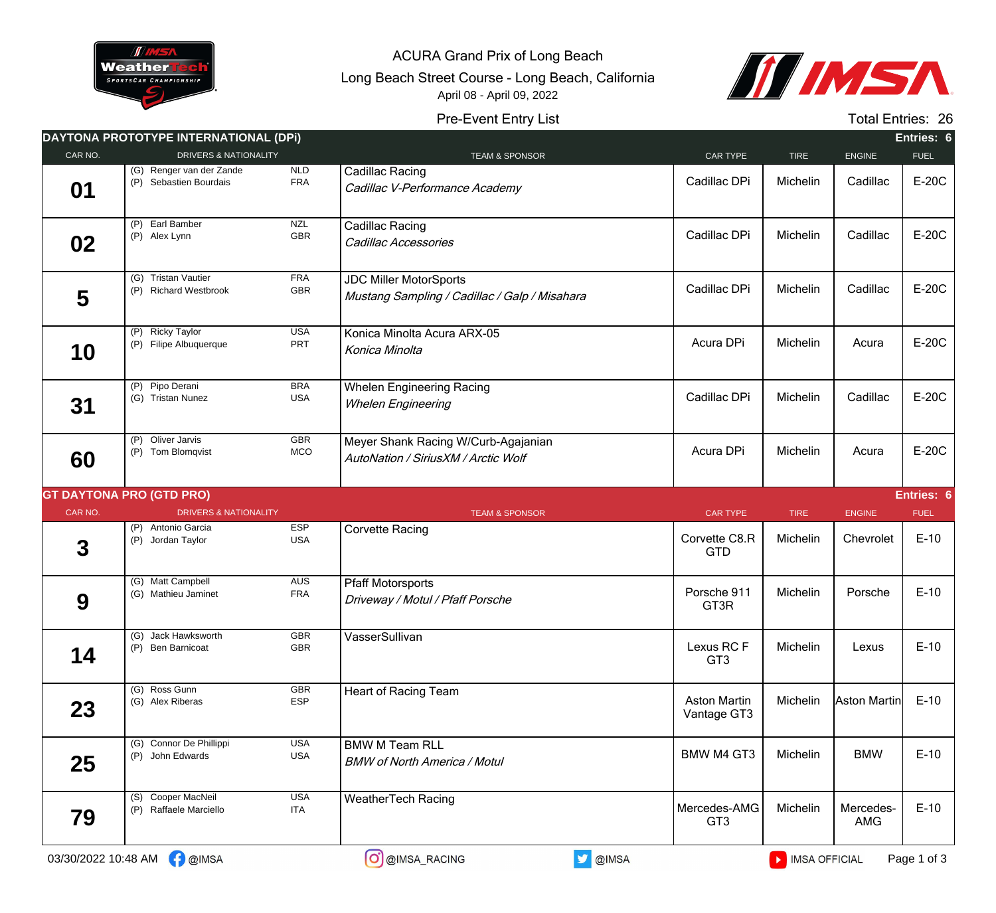

ACURA Grand Prix of Long Beach

Long Beach Street Course - Long Beach, California April 08 - April 09, 2022



## Pre-Event Entry List

Total Entries: 26

|         | DAYTONA PROTOTYPE INTERNATIONAL (DPI)              |                          |                                                                                |                                    |             |               | Entries: 6  |
|---------|----------------------------------------------------|--------------------------|--------------------------------------------------------------------------------|------------------------------------|-------------|---------------|-------------|
| CAR NO. | <b>DRIVERS &amp; NATIONALITY</b>                   |                          | <b>TEAM &amp; SPONSOR</b>                                                      | CAR TYPE                           | <b>TIRE</b> | <b>ENGINE</b> | <b>FUEL</b> |
| 01      | (G) Renger van der Zande<br>(P) Sebastien Bourdais | NLD<br><b>FRA</b>        | Cadillac Racing<br>Cadillac V-Performance Academy                              | Cadillac DPi                       | Michelin    | Cadillac      | E-20C       |
| 02      | (P) Earl Bamber<br>(P) Alex Lynn                   | <b>NZL</b><br><b>GBR</b> | Cadillac Racing<br>Cadillac Accessories                                        | Cadillac DPi                       | Michelin    | Cadillac      | E-20C       |
| 5       | (G) Tristan Vautier<br>(P) Richard Westbrook       | <b>FRA</b><br>GBR        | <b>JDC Miller MotorSports</b><br>Mustang Sampling / Cadillac / Galp / Misahara | Cadillac DPi                       | Michelin    | Cadillac      | E-20C       |
| 10      | (P) Ricky Taylor<br>(P) Filipe Albuquerque         | <b>USA</b><br>PRT        | Konica Minolta Acura ARX-05<br>Konica Minolta                                  | Acura DPi                          | Michelin    | Acura         | E-20C       |
| 31      | (P) Pipo Derani<br>(G) Tristan Nunez               | <b>BRA</b><br><b>USA</b> | <b>Whelen Engineering Racing</b><br><b>Whelen Engineering</b>                  | Cadillac DPi                       | Michelin    | Cadillac      | E-20C       |
| 60      | (P) Oliver Jarvis<br>(P) Tom Blomqvist             | <b>GBR</b><br>MCO        | Meyer Shank Racing W/Curb-Agajanian<br>AutoNation / SiriusXM / Arctic Wolf     | Acura DPi                          | Michelin    | Acura         | E-20C       |
|         | <b>GT DAYTONA PRO (GTD PRO)</b>                    |                          |                                                                                |                                    |             |               | Entries: 6  |
| CAR NO. | <b>DRIVERS &amp; NATIONALITY</b>                   |                          | <b>TEAM &amp; SPONSOR</b>                                                      | <b>CAR TYPE</b>                    | <b>TIRE</b> | <b>ENGINE</b> | <b>FUEL</b> |
| 3       | (P) Antonio Garcia<br>(P) Jordan Taylor            | <b>ESP</b><br><b>USA</b> | <b>Corvette Racing</b>                                                         | Corvette C8.R<br><b>GTD</b>        | Michelin    | Chevrolet     | $E-10$      |
| 9       | (G) Matt Campbell<br>(G) Mathieu Jaminet           | <b>AUS</b><br><b>FRA</b> | <b>Pfaff Motorsports</b><br>Driveway / Motul / Pfaff Porsche                   | Porsche 911<br>GT3R                | Michelin    | Porsche       | $E-10$      |
| 14      | (G) Jack Hawksworth<br>(P) Ben Barnicoat           | GBR<br>GBR               | VasserSullivan                                                                 | Lexus RC F<br>GT <sub>3</sub>      | Michelin    | Lexus         | $E-10$      |
| 23      | (G) Ross Gunn<br>(G) Alex Riberas                  | GBR<br><b>ESP</b>        | Heart of Racing Team                                                           | <b>Aston Martin</b><br>Vantage GT3 | Michelin    | Aston Martin  | $E-10$      |
|         |                                                    |                          |                                                                                |                                    |             |               |             |
| 25      | (G) Connor De Phillippi<br>(P) John Edwards        | <b>USA</b><br><b>USA</b> | <b>BMW M Team RLL</b><br><b>BMW of North America / Motul</b>                   | <b>BMW M4 GT3</b>                  | Michelin    | <b>BMW</b>    | $E-10$      |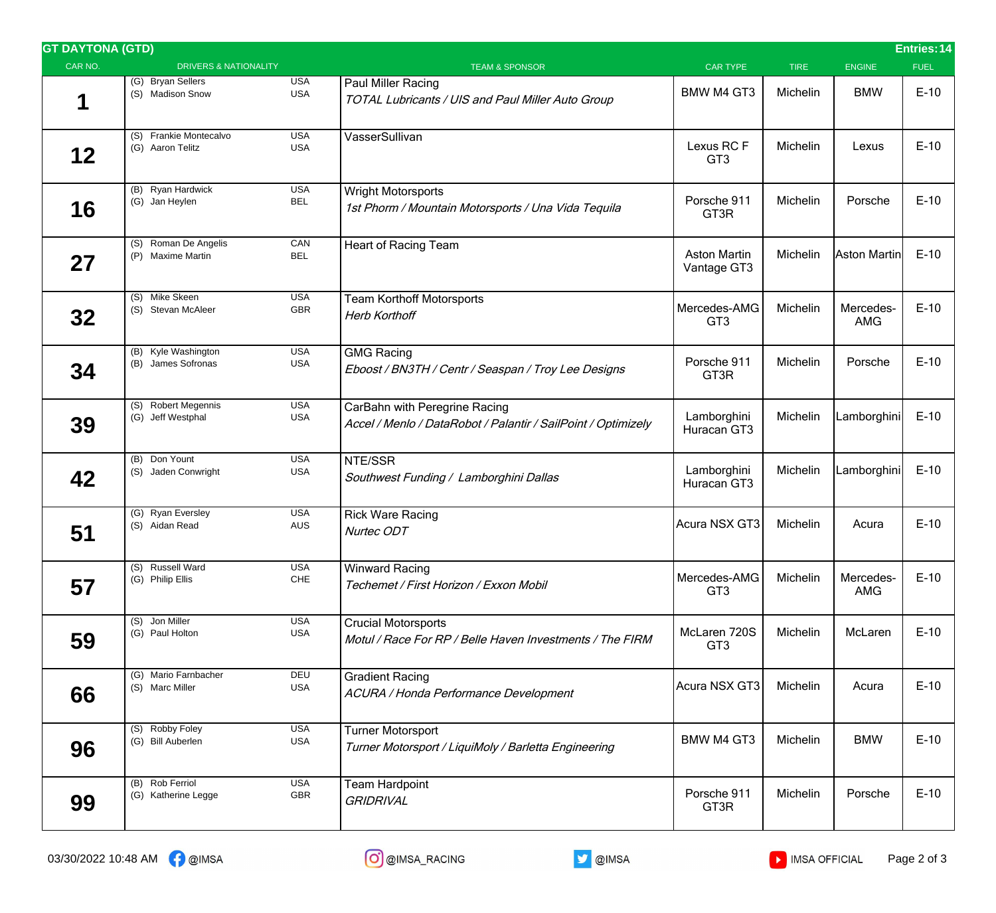| <b>GT DAYTONA (GTD)</b> |                                            |                          |                                                                                                |                                    |             |                         | <b>Entries: 14</b> |
|-------------------------|--------------------------------------------|--------------------------|------------------------------------------------------------------------------------------------|------------------------------------|-------------|-------------------------|--------------------|
| CAR NO.                 | <b>DRIVERS &amp; NATIONALITY</b>           |                          | <b>TEAM &amp; SPONSOR</b>                                                                      | <b>CAR TYPE</b>                    | <b>TIRE</b> | <b>ENGINE</b>           | <b>FUEL</b>        |
| 1                       | (G) Bryan Sellers<br>(S) Madison Snow      | USA<br><b>USA</b>        | Paul Miller Racing<br>TOTAL Lubricants / UIS and Paul Miller Auto Group                        | <b>BMW M4 GT3</b>                  | Michelin    | <b>BMW</b>              | $E-10$             |
| 12                      | (S) Frankie Montecalvo<br>(G) Aaron Telitz | <b>USA</b><br><b>USA</b> | VasserSullivan                                                                                 | Lexus RC F<br>GT <sub>3</sub>      | Michelin    | Lexus                   | $E-10$             |
| 16                      | (B) Ryan Hardwick<br>(G) Jan Heylen        | <b>USA</b><br><b>BEL</b> | <b>Wright Motorsports</b><br>1st Phorm / Mountain Motorsports / Una Vida Tequila               | Porsche 911<br>GT3R                | Michelin    | Porsche                 | $E-10$             |
| 27                      | (S) Roman De Angelis<br>(P) Maxime Martin  | CAN<br><b>BEL</b>        | Heart of Racing Team                                                                           | <b>Aston Martin</b><br>Vantage GT3 | Michelin    | Aston Martin            | $E-10$             |
| 32                      | (S) Mike Skeen<br>(S) Stevan McAleer       | <b>USA</b><br>GBR        | <b>Team Korthoff Motorsports</b><br><b>Herb Korthoff</b>                                       | Mercedes-AMG<br>GT <sub>3</sub>    | Michelin    | Mercedes-<br><b>AMG</b> | $E-10$             |
| 34                      | (B) Kyle Washington<br>(B) James Sofronas  | <b>USA</b><br><b>USA</b> | <b>GMG Racing</b><br>Eboost / BN3TH / Centr / Seaspan / Troy Lee Designs                       | Porsche 911<br>GT3R                | Michelin    | Porsche                 | $E-10$             |
| 39                      | (S) Robert Megennis<br>(G) Jeff Westphal   | <b>USA</b><br><b>USA</b> | CarBahn with Peregrine Racing<br>Accel / Menlo / DataRobot / Palantir / SailPoint / Optimizely | Lamborghini<br>Huracan GT3         | Michelin    | Lamborghini             | $E-10$             |
| 42                      | (B) Don Yount<br>(S) Jaden Conwright       | <b>USA</b><br><b>USA</b> | NTE/SSR<br>Southwest Funding / Lamborghini Dallas                                              | Lamborghini<br>Huracan GT3         | Michelin    | Lamborghini             | $E-10$             |
| 51                      | (G) Ryan Eversley<br>(S) Aidan Read        | <b>USA</b><br><b>AUS</b> | <b>Rick Ware Racing</b><br>Nurtec ODT                                                          | Acura NSX GT3                      | Michelin    | Acura                   | $E-10$             |
| 57                      | (S) Russell Ward<br>(G) Philip Ellis       | <b>USA</b><br>CHE        | <b>Winward Racing</b><br>Techemet / First Horizon / Exxon Mobil                                | Mercedes-AMG<br>GT <sub>3</sub>    | Michelin    | Mercedes-<br>AMG        | $E-10$             |
| 59                      | (S) Jon Miller<br>(G) Paul Holton          | <b>USA</b><br>USA        | <b>Crucial Motorsports</b><br>Motul / Race For RP / Belle Haven Investments / The FIRM         | McLaren 720S<br>GT <sub>3</sub>    | Michelin    | McLaren                 | $E-10$             |
| 66                      | (G) Mario Farnbacher<br>(S) Marc Miller    | DEU<br><b>USA</b>        | <b>Gradient Racing</b><br>ACURA / Honda Performance Development                                | Acura NSX GT3                      | Michelin    | Acura                   | $E-10$             |
| 96                      | (S) Robby Foley<br>(G) Bill Auberlen       | <b>USA</b><br><b>USA</b> | <b>Turner Motorsport</b><br>Turner Motorsport / LiquiMoly / Barletta Engineering               | <b>BMW M4 GT3</b>                  | Michelin    | <b>BMW</b>              | $E-10$             |
| 99                      | (B) Rob Ferriol<br>(G) Katherine Legge     | <b>USA</b><br>GBR        | <b>Team Hardpoint</b><br><b>GRIDRIVAL</b>                                                      | Porsche 911<br>GT3R                | Michelin    | Porsche                 | $E-10$             |